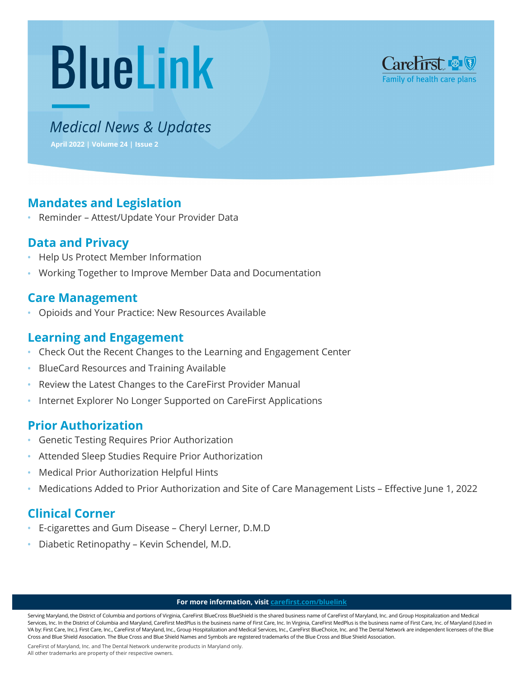# **BlueLink**



# **Medical News & Updates**

**April 2022 | Volume 24 | Issue 2**

# **Mandates and Legislation**

**•** Reminder – Attest/Update Your Provider Data

# **Data and Privacy**

- **•** Help Us Protect Member Information
- **•** Working Together to Improve Member Data and Documentation

## **Care Management**

**•** Opioids and Your Practice: New Resources Available

## **Learning and Engagement**

- **•** Check Out the Recent Changes to the Learning and Engagement Center
- **•** BlueCard Resources and Training Available
- **•** Review the Latest Changes to the CareFirst Provider Manual
- **•** Internet Explorer No Longer Supported on CareFirst Applications

# **Prior Authorization**

- **•** Genetic Testing Requires Prior Authorization
- **•** Attended Sleep Studies Require Prior Authorization
- **•** Medical Prior Authorization Helpful Hints
- **•** Medications Added to Prior Authorization and Site of Care Management Lists Effective June 1, 2022

# **Clinical Corner**

- **•** E-cigarettes and Gum Disease Cheryl Lerner, D.M.D
- **•** Diabetic Retinopathy Kevin Schendel, M.D.

#### **For more information, visi[t carefirst.com/bluelink](http://www.carefirst.com/bluelink)**

Serving Maryland, the District of Columbia and portions of Virginia, CareFirst BlueCross BlueShield is the shared business name of CareFirst of Maryland, Inc. and Group Hospitalization and Medical Services, Inc. In the District of Columbia and Maryland, CareFirst MedPlus is the business name of First Care, Inc. In Virginia, CareFirst MedPlus is the business name of First Care, Inc. of Maryland (Used in VA by: First Care, Inc.). First Care, Inc., CareFirst of Maryland, Inc., Group Hospitalization and Medical Services, Inc., CareFirst BlueChoice, Inc. and The Dental Network are independent licensees of the Blue Cross and Blue Shield Association. The Blue Cross and Blue Shield Names and Symbols are registered trademarks of the Blue Cross and Blue Shield Association.

CareFirst of Maryland, Inc. and The Dental Network underwrite products in Maryland only.

All other trademarks are property of their respective owners.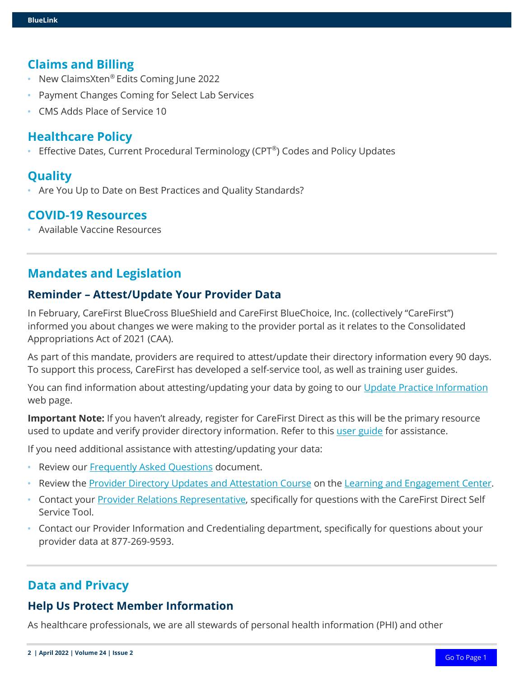#### **Claims and Billing**

- **•** New ClaimsXten® Edits Coming June 2022
- **•** Payment Changes Coming for Select Lab Services
- **•** CMS Adds Place of Service 10

#### **Healthcare Policy**

**•** Effective Dates, Current Procedural Terminology (CPT®) Codes and Policy Updates

## **Quality**

**•** Are You Up to Date on Best Practices and Quality Standards?

## **COVID-19 Resources**

**•** Available Vaccine Resources

## **Mandates and Legislation**

#### **Reminder – Attest/Update Your Provider Data**

In February, CareFirst BlueCross BlueShield and CareFirst BlueChoice, Inc. (collectively "CareFirst") informed you about changes we were making to the provider portal as it relates to the Consolidated Appropriations Act of 2021 (CAA).

As part of this mandate, providers are required to attest/update their directory information every 90 days. To support this process, CareFirst has developed a self-service tool, as well as training user guides.

You can find information about attesting/updating your data by going to our [Update Practice Information](https://provider.carefirst.com/providers/resources/update-practice-info.page) web page.

**Important Note:** If you haven't already, register for CareFirst Direct as this will be the primary resource used to update and verify provider directory information. Refer to this [user guide](https://carefirst.az1.qualtrics.com/jfe/form/SV_6n8VeZCKux9oniK) for assistance.

If you need additional assistance with attesting/updating your data:

- **•** Review our [Frequently Asked Questions](https://media.campaigner.com/media/57/573995/All-BlueLink/BlueLink2022/April/Final-Provider-Directory-CAA-FAQs-2022v2.pdf) document.
- **•** Review the [Provider Directory Updates and Attestation Course](https://rise.articulate.com/share/saNvgLJHMFSvpaqrGdN12sQEIPQJzJIX#/) on the [Learning and Engagement Center.](http://www.carefirst.com/learning)
- Contact your [Provider Relations Representative,](https://provider.carefirst.com/providers/resources/find-provider-rep.page?) specifically for questions with the CareFirst Direct Self Service Tool.
- **•** Contact our Provider Information and Credentialing department, specifically for questions about your provider data at 877-269-9593.

## **Data and Privacy**

#### **Help Us Protect Member Information**

As healthcare professionals, we are all stewards of personal health information (PHI) and other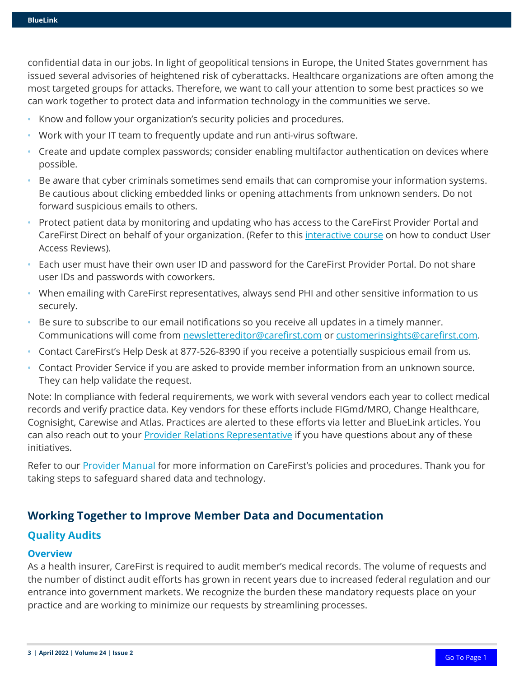confidential data in our jobs. In light of geopolitical tensions in Europe, the United States government has issued several advisories of heightened risk of cyberattacks. Healthcare organizations are often among the most targeted groups for attacks. Therefore, we want to call your attention to some best practices so we can work together to protect data and information technology in the communities we serve.

- **•** Know and follow your organization's security policies and procedures.
- **•** Work with your IT team to frequently update and run anti-virus software.
- **•** Create and update complex passwords; consider enabling multifactor authentication on devices where possible.
- **•** Be aware that cyber criminals sometimes send emails that can compromise your information systems. Be cautious about clicking embedded links or opening attachments from unknown senders. Do not forward suspicious emails to others.
- **•** Protect patient data by monitoring and updating who has access to the CareFirst Provider Portal and CareFirst Direct on behalf of your organization. (Refer to this *interactive course* on how to conduct User Access Reviews).
- **•** Each user must have their own user ID and password for the CareFirst Provider Portal. Do not share user IDs and passwords with coworkers.
- **•** When emailing with CareFirst representatives, always send PHI and other sensitive information to us securely.
- **•** Be sure to subscribe to our email notifications so you receive all updates in a timely manner. Communications will come from [newslettereditor@carefirst.com](mailto:newslettereditor@carefirst.com) or [customerinsights@carefirst.com.](mailto:customerinsights@carefirst.com)
- **•** Contact CareFirst's Help Desk at 877-526-8390 if you receive a potentially suspicious email from us.
- **•** Contact Provider Service if you are asked to provide member information from an unknown source. They can help validate the request.

Note: In compliance with federal requirements, we work with several vendors each year to collect medical records and verify practice data. Key vendors for these efforts include FIGmd/MRO, Change Healthcare, Cognisight, Carewise and Atlas. Practices are alerted to these efforts via letter and BlueLink articles. You can also reach out to your **Provider Relations Representative** if you have questions about any of these initiatives.

Refer to our [Provider Manual](https://provider.carefirst.com/providers/resources/provider-manual.page) for more information on CareFirst's policies and procedures. Thank you for taking steps to safeguard shared data and technology.

#### **Working Together to Improve Member Data and Documentation**

#### **Quality Audits**

#### **Overview**

As a health insurer, CareFirst is required to audit member's medical records. The volume of requests and the number of distinct audit efforts has grown in recent years due to increased federal regulation and our entrance into government markets. We recognize the burden these mandatory requests place on your practice and are working to minimize our requests by streamlining processes.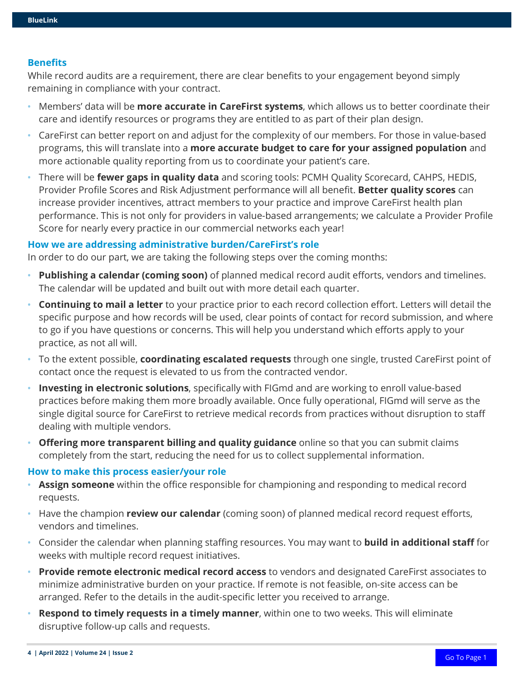#### **Benefits**

While record audits are a requirement, there are clear benefits to your engagement beyond simply remaining in compliance with your contract.

- **•** Members' data will be **more accurate in CareFirst systems**, which allows us to better coordinate their care and identify resources or programs they are entitled to as part of their plan design.
- **•** CareFirst can better report on and adjust for the complexity of our members. For those in value-based programs, this will translate into a **more accurate budget to care for your assigned population** and more actionable quality reporting from us to coordinate your patient's care.
- **•** There will be **fewer gaps in quality data** and scoring tools: PCMH Quality Scorecard, CAHPS, HEDIS, Provider Profile Scores and Risk Adjustment performance will all benefit. **Better quality scores** can increase provider incentives, attract members to your practice and improve CareFirst health plan performance. This is not only for providers in value-based arrangements; we calculate a Provider Profile Score for nearly every practice in our commercial networks each year!

#### **How we are addressing administrative burden/CareFirst's role**

In order to do our part, we are taking the following steps over the coming months:

- **• Publishing a calendar (coming soon)** of planned medical record audit efforts, vendors and timelines. The calendar will be updated and built out with more detail each quarter.
- **• Continuing to mail a letter** to your practice prior to each record collection effort. Letters will detail the specific purpose and how records will be used, clear points of contact for record submission, and where to go if you have questions or concerns. This will help you understand which efforts apply to your practice, as not all will.
- **•** To the extent possible, **coordinating escalated requests** through one single, trusted CareFirst point of contact once the request is elevated to us from the contracted vendor.
- **• Investing in electronic solutions**, specifically with FIGmd and are working to enroll value-based practices before making them more broadly available. Once fully operational, FIGmd will serve as the single digital source for CareFirst to retrieve medical records from practices without disruption to staff dealing with multiple vendors.
- **• Offering more transparent billing and quality guidance** online so that you can submit claims completely from the start, reducing the need for us to collect supplemental information.

#### **How to make this process easier/your role**

- **• Assign someone** within the office responsible for championing and responding to medical record requests.
- **•** Have the champion **review our calendar** (coming soon) of planned medical record request efforts, vendors and timelines.
- **•** Consider the calendar when planning staffing resources. You may want to **build in additional staff** for weeks with multiple record request initiatives.
- **• Provide remote electronic medical record access** to vendors and designated CareFirst associates to minimize administrative burden on your practice. If remote is not feasible, on-site access can be arranged. Refer to the details in the audit-specific letter you received to arrange.
- **• Respond to timely requests in a timely manner**, within one to two weeks. This will eliminate disruptive follow-up calls and requests.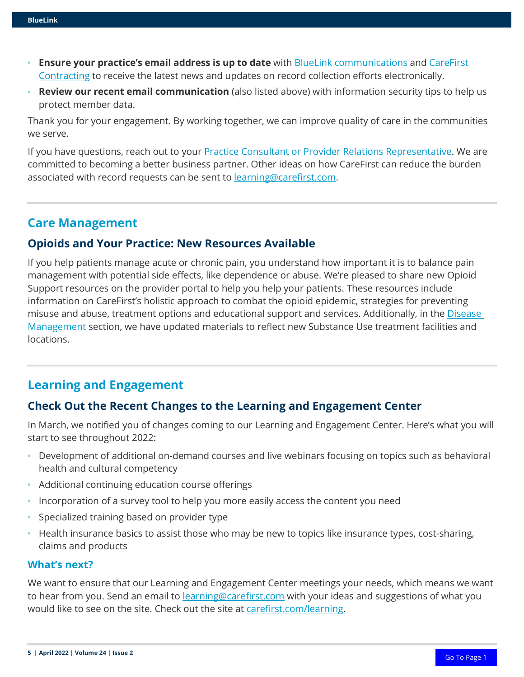- **• Ensure your practice's email address is up to date** with [BlueLink communications](http://www.carefirst.com/stayconnected) and [CareFirst](https://provider.carefirst.com/providers/pop-up/provider-contact-form.page)  [Contracting](https://provider.carefirst.com/providers/pop-up/provider-contact-form.page) to receive the latest news and updates on record collection efforts electronically.
- **• Review our recent email communication** (also listed above) with information security tips to help us protect member data.

Thank you for your engagement. By working together, we can improve quality of care in the communities we serve.

If you have questions, reach out to your [Practice Consultant or Provider Relations Representative.](http://www.carefirst.com/providerrep) We are committed to becoming a better business partner. Other ideas on how CareFirst can reduce the burden associated with record requests can be sent to **learning@carefirst.com**.

## **Care Management**

## **Opioids and Your Practice: New Resources Available**

If you help patients manage acute or chronic pain, you understand how important it is to balance pain management with potential side effects, like dependence or abuse. We're pleased to share new [Opioid](https://provider.carefirst.com/providers/care-management/opioid-support.page)  [Support](https://provider.carefirst.com/providers/care-management/opioid-support.page) resources on the provider portal to help you help your patients. These resources include information on CareFirst's holistic approach to combat the opioid epidemic, strategies for preventing misuse and abuse, treatment options and educational support and services. Additionally, in the Disease [Management](https://provider.carefirst.com/providers/care-management/disease-management.page) section, we have updated materials to reflect new Substance Use treatment facilities and locations.

# **Learning and Engagement**

#### **Check Out the Recent Changes to the Learning and Engagement Center**

In March, we notified you of changes coming to our Learning and Engagement Center. Here's what you will start to see throughout 2022:

- **•** Development of additional on-demand courses and live webinars focusing on topics such as behavioral health and cultural competency
- **•** Additional continuing education course offerings
- **•** Incorporation of a survey tool to help you more easily access the content you need
- **•** Specialized training based on provider type
- **•** Health insurance basics to assist those who may be new to topics like insurance types, cost-sharing, claims and products

#### **What's next?**

We want to ensure that our Learning and Engagement Center meetings your needs, which means we want to hear from you. Send an email to **learning@carefirst.com** with your ideas and suggestions of what you would like to see on the site. Check out the site at [carefirst.com/learning.](http://www.carefirst.com/learning)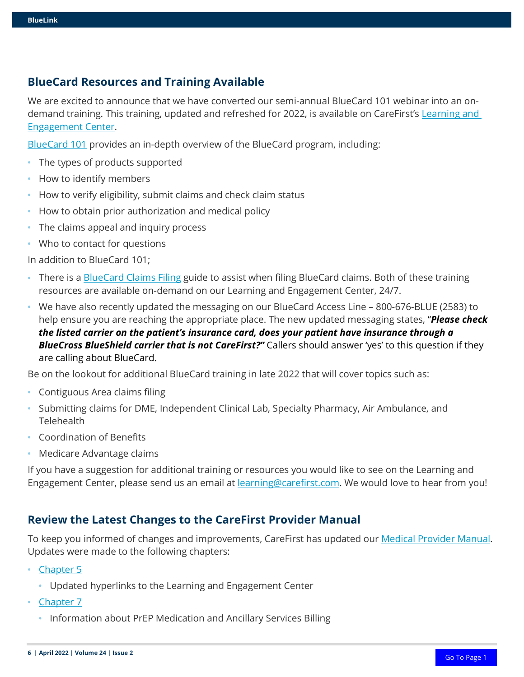## **BlueCard Resources and Training Available**

We are excited to announce that we have converted our semi-annual BlueCard 101 webinar into an ondemand training. This training, updated and refreshed for 2022, is available on CareFirst's [Learning and](http://www.carefirst.com/learning)  [Engagement Center](http://www.carefirst.com/learning).

[BlueCard 101](https://carefirst.az1.qualtrics.com/jfe/form/SV_5mqU9Or3gmdybPw) provides an in-depth overview of the BlueCard program, including:

- **•** The types of products supported
- **•** How to identify members
- **•** How to verify eligibility, submit claims and check claim status
- **•** How to obtain prior authorization and medical policy
- **•** The claims appeal and inquiry process
- **•** Who to contact for questions

In addition to BlueCard 101;

- There is a **BlueCard Claims Filing guide to assist when filing BlueCard claims. Both of these training** resources are available on-demand on our Learning and Engagement Center, 24/7.
- **•** We have also recently updated the messaging on our BlueCard Access Line 800-676-BLUE (2583) to help ensure you are reaching the appropriate place. The new updated messaging states, "*Please check the listed carrier on the patient's insurance card, does your patient have insurance through a BlueCross BlueShield carrier that is not CareFirst?"* Callers should answer 'yes' to this question if they are calling about BlueCard.

Be on the lookout for additional BlueCard training in late 2022 that will cover topics such as:

- **•** Contiguous Area claims filing
- **•** Submitting claims for DME, Independent Clinical Lab, Specialty Pharmacy, Air Ambulance, and **Telehealth**
- **•** Coordination of Benefits
- **•** Medicare Advantage claims

If you have a suggestion for additional training or resources you would like to see on the Learning and Engagement Center, please send us an email at **learning@carefirst.com**. We would love to hear from you!

#### **Review the Latest Changes to the CareFirst Provider Manual**

To keep you informed of changes and improvements, CareFirst has updated our [Medical Provider Manual.](https://provider.carefirst.com/carefirst-resources/provider/pdf/medical-provider-manual.pdf) Updates were made to the following chapters:

- **•** [Chapter 5](https://provider.carefirst.com/carefirst-resources/provider/pdf/provider-manual-chapter-5-claims-billing-and-payments.pdf)
	- **•** Updated hyperlinks to the Learning and Engagement Center
- **•** [Chapter 7](https://provider.carefirst.com/carefirst-resources/provider/pdf/provider-manual-chapter-7-care-management.pdf)
	- **•** Information about PrEP Medication and Ancillary Services Billing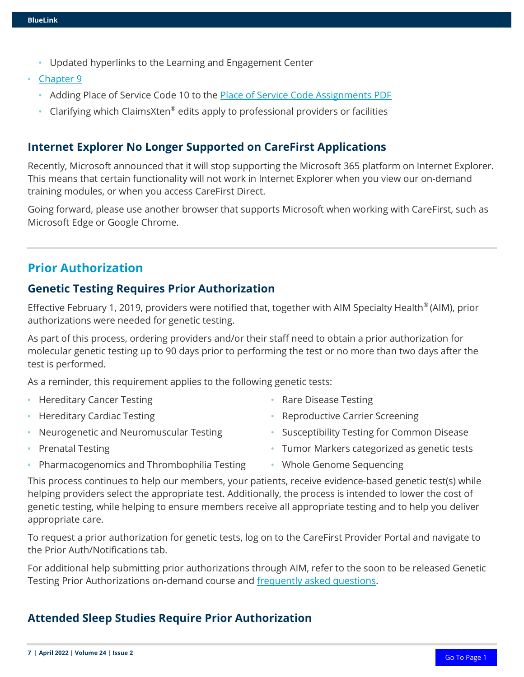- **•** Updated hyperlinks to the Learning and Engagement Center
- **•** [Chapter 9](https://provider.carefirst.com/carefirst-resources/provider/pdf/provider-manual-chapter-9-policies-procedures.pdf) 
	- **•** Adding Place of Service Code 10 to the [Place of Service Code Assignments PDF](https://provider.carefirst.com/carefirst-resources/provider/pdf/professional-provider-manual-service-code-assignments-cut9402.pdf)
	- **•** Clarifying which ClaimsXten® edits apply to professional providers or facilities

## **Internet Explorer No Longer Supported on CareFirst Applications**

Recently, Microsoft announced that it will stop supporting the Microsoft 365 platform on Internet Explorer. This means that certain functionality will not work in Internet Explorer when you view our on-demand training modules, or when you access CareFirst Direct.

Going forward, please use another browser that supports Microsoft when working with CareFirst, such as Microsoft Edge or Google Chrome.

# **Prior Authorization**

#### **Genetic Testing Requires Prior Authorization**

Effective February 1, 2019, providers were notified that, together with AIM Specialty Health® (AIM), prior authorizations were needed for genetic testing.

As part of this process, ordering providers and/or their staff need to obtain a prior authorization for molecular genetic testing up to 90 days prior to performing the test or no more than two days after the test is performed.

As a reminder, this requirement applies to the following genetic tests:

- **•** Hereditary Cancer Testing
- **•** Hereditary Cardiac Testing
- **•** Neurogenetic and Neuromuscular Testing
- **•** Prenatal Testing
- **•** Rare Disease Testing
- **•** Reproductive Carrier Screening
- **•** Susceptibility Testing for Common Disease
- **•** Tumor Markers categorized as genetic tests
- **•** Pharmacogenomics and Thrombophilia Testing
- **•** Whole Genome Sequencing

This process continues to help our members, your patients, receive evidence-based genetic test(s) while helping providers select the appropriate test. Additionally, the process is intended to lower the cost of genetic testing, while helping to ensure members receive all appropriate testing and to help you deliver appropriate care.

To request a prior authorization for genetic tests, log on to the CareFirst Provider Portal and navigate to the Prior Auth/Notifications tab.

For additional help submitting prior authorizations through AIM, refer to the soon to be released Genetic Testing Prior Authorizations on-demand course and [frequently asked questions.](https://media.campaigner.com/media/57/573995/All-BlueLink/BlueLink2022/April/PRD1102_AIM_Specialty_Health_FAQs_3.23.22.pdf)

## **Attended Sleep Studies Require Prior Authorization**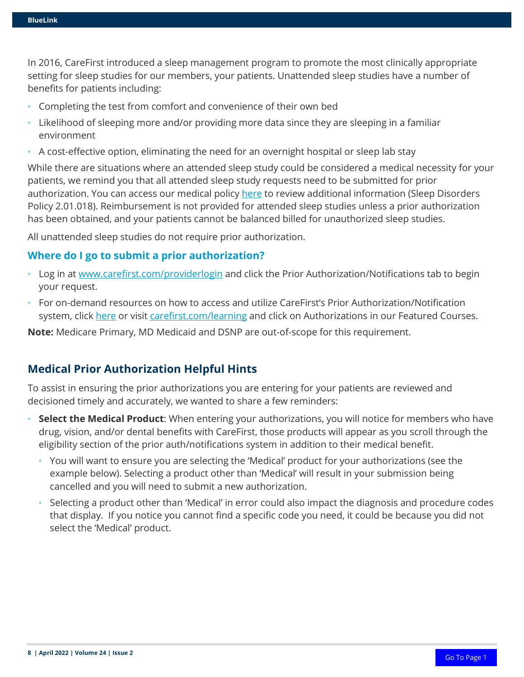In 2016, CareFirst introduced a sleep management program to promote the most clinically appropriate setting for sleep studies for our members, your patients. Unattended sleep studies have a number of benefits for patients including:

- **•** Completing the test from comfort and convenience of their own bed
- **•** Likelihood of sleeping more and/or providing more data since they are sleeping in a familiar environment
- **•** A cost-effective option, eliminating the need for an overnight hospital or sleep lab stay

While there are situations where an attended sleep study could be considered a medical necessity for your patients, we remind you that all attended sleep study requests need to be submitted for prior authorization. You can access our medical policy [here](https://provider.carefirst.com/providers/medical/medical-policy.page?) to review additional information (Sleep Disorders Policy 2.01.018). Reimbursement is not provided for attended sleep studies unless a prior authorization has been obtained, and your patients cannot be balanced billed for unauthorized sleep studies.

All unattended sleep studies do not require prior authorization.

#### **Where do I go to submit a prior authorization?**

- **•** Log in at [www.carefirst.com/providerlogin](http://www.carefirst.com/providerlogin) and click the Prior Authorization/Notifications tab to begin your request.
- **•** For on-demand resources on how to access and utilize CareFirst's Prior Authorization/Notification system, click [here](https://www.carefirst.com/providereducation/course-by-topic/course-by-topic.html) or visit [carefirst.com/learning](http://www.carefirst.com/learning) and click on Authorizations in our Featured Courses.

**Note:** Medicare Primary, MD Medicaid and DSNP are out-of-scope for this requirement.

#### **Medical Prior Authorization Helpful Hints**

To assist in ensuring the prior authorizations you are entering for your patients are reviewed and decisioned timely and accurately, we wanted to share a few reminders:

- **• Select the Medical Product**: When entering your authorizations, you will notice for members who have drug, vision, and/or dental benefits with CareFirst, those products will appear as you scroll through the eligibility section of the prior auth/notifications system in addition to their medical benefit.
	- **•** You will want to ensure you are selecting the 'Medical' product for your authorizations (see the example below). Selecting a product other than 'Medical' will result in your submission being cancelled and you will need to submit a new authorization.
	- **•** Selecting a product other than 'Medical' in error could also impact the diagnosis and procedure codes that display. If you notice you cannot find a specific code you need, it could be because you did not select the 'Medical' product.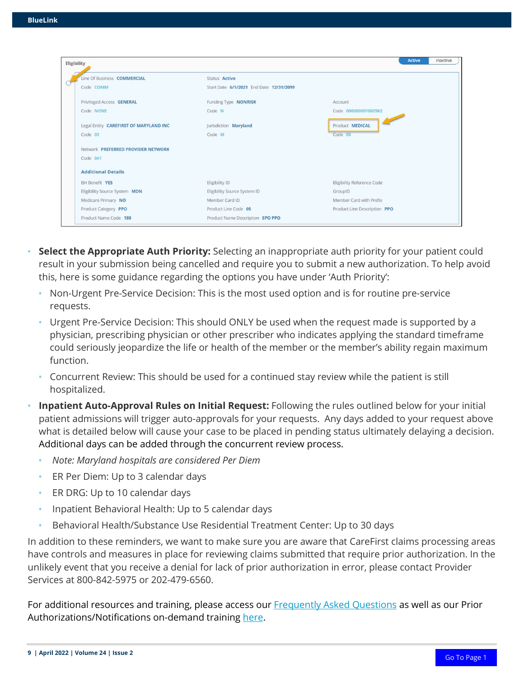| Eligibility                            |                                         | <b>Active</b><br>Inactive         |
|----------------------------------------|-----------------------------------------|-----------------------------------|
| Line Of Business COMMERCIAL            | <b>Status Active</b>                    |                                   |
| Code COMM                              | Start Date 6/1/2021 End Date 12/31/2099 |                                   |
| Privileged Access <b>GENERAL</b>       | Funding Type NONRISK                    | Account                           |
| Code NONE                              | Code N                                  | Code 000000001002962              |
| Legal Entity CAREFIRST OF MARYLAND INC | Jurisdiction Maryland                   | Product MEDICAL                   |
| Code 03                                | Code M                                  | Code 05                           |
| Network PREFERRED PROVIDER NETWORK     |                                         |                                   |
| Code 041                               |                                         |                                   |
| <b>Additional Details</b>              |                                         |                                   |
| <b>BH Benefit YES</b>                  | Eligibility ID                          | <b>Eligibility Reference Code</b> |
| Eligibility Source System MDN          | Eligibility Source System ID            | GroupID                           |
| Medicare Primary NO                    | Member Card ID                          | Member Card with Prefix           |
| Product Category PPO                   | Product Line Code 05                    | Product Line Description PPO      |
| Product Name Code 180                  | Product Name Description EPO PPO        |                                   |

- **Select the Appropriate Auth Priority:** Selecting an inappropriate auth priority for your patient could result in your submission being cancelled and require you to submit a new authorization. To help avoid this, here is some guidance regarding the options you have under 'Auth Priority':
	- **•** Non-Urgent Pre-Service Decision: This is the most used option and is for routine pre-service requests.
	- **•** Urgent Pre-Service Decision: This should ONLY be used when the request made is supported by a physician, prescribing physician or other prescriber who indicates applying the standard timeframe could seriously jeopardize the life or health of the member or the member's ability regain maximum function.
	- **•** Concurrent Review: This should be used for a continued stay review while the patient is still hospitalized.
- **• Inpatient Auto-Approval Rules on Initial Request:** Following the rules outlined below for your initial patient admissions will trigger auto-approvals for your requests. Any days added to your request above what is detailed below will cause your case to be placed in pending status ultimately delaying a decision. Additional days can be added through the concurrent review process.
	- **•** *Note: Maryland hospitals are considered Per Diem*
	- **•** ER Per Diem: Up to 3 calendar days
	- **•** ER DRG: Up to 10 calendar days
	- **•** Inpatient Behavioral Health: Up to 5 calendar days
	- **•** Behavioral Health/Substance Use Residential Treatment Center: Up to 30 days

In addition to these reminders, we want to make sure you are aware that CareFirst claims processing areas have controls and measures in place for reviewing claims submitted that require prior authorization. In the unlikely event that you receive a denial for lack of prior authorization in error, please contact Provider Services at 800-842-5975 or 202-479-6560.

For additional resources and training, please access our [Frequently Asked](https://www.carefirst.com/learning/attachments/entering-authorizations-via-the-altruista-health-system.pdf) Questions as well as our Prior Authorizations/Notifications on-demand training [here.](https://www.carefirst.com/learning/course-by-topic/course-by-topic.html)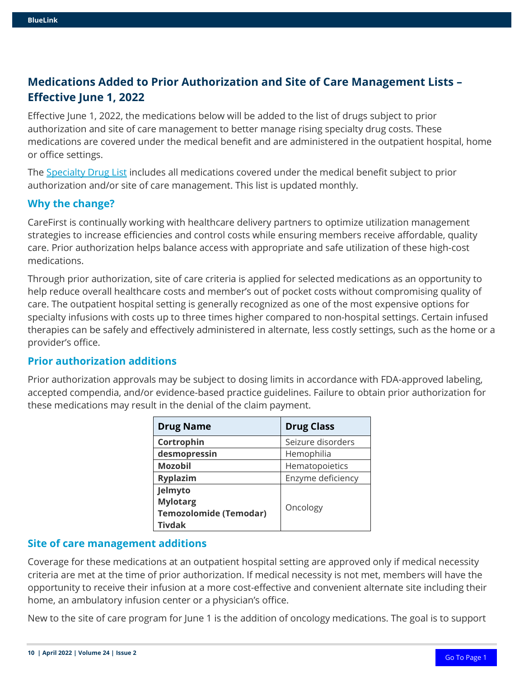# **Medications Added to Prior Authorization and Site of Care Management Lists – Effective June 1, 2022**

Effective June 1, 2022, the medications below will be added to the list of drugs subject to prior authorization and site of care management to better manage rising specialty drug costs. These medications are covered under the medical benefit and are administered in the outpatient hospital, home or office settings.

The [Specialty Drug List](https://member.carefirst.com/carefirst-resources/pdf/specialty-pharmacy-drug-list-sum2654-2022.pdf) includes all medications covered under the medical benefit subject to prior authorization and/or site of care management. This list is updated monthly.

#### **Why the change?**

CareFirst is continually working with healthcare delivery partners to optimize utilization management strategies to increase efficiencies and control costs while ensuring members receive affordable, quality care. Prior authorization helps balance access with appropriate and safe utilization of these high-cost medications.

Through prior authorization, site of care criteria is applied for selected medications as an opportunity to help reduce overall healthcare costs and member's out of pocket costs without compromising quality of care. The outpatient hospital setting is generally recognized as one of the most expensive options for specialty infusions with costs up to three times higher compared to non-hospital settings. Certain infused therapies can be safely and effectively administered in alternate, less costly settings, such as the home or a provider's office.

#### **Prior authorization additions**

Prior authorization approvals may be subject to dosing limits in accordance with FDA-approved labeling, accepted compendia, and/or evidence-based practice guidelines. Failure to obtain prior authorization for these medications may result in the denial of the claim payment.

| <b>Drug Name</b>                                                             | <b>Drug Class</b> |
|------------------------------------------------------------------------------|-------------------|
| Cortrophin                                                                   | Seizure disorders |
| desmopressin                                                                 | Hemophilia        |
| <b>Mozobil</b>                                                               | Hematopoietics    |
| <b>Ryplazim</b>                                                              | Enzyme deficiency |
| Jelmyto<br><b>Mylotarg</b><br><b>Temozolomide (Temodar)</b><br><b>Tivdak</b> | Oncology          |

#### **Site of care management additions**

Coverage for these medications at an outpatient hospital setting are approved only if medical necessity criteria are met at the time of prior authorization. If medical necessity is not met, members will have the opportunity to receive their infusion at a more cost-effective and convenient alternate site including their home, an ambulatory infusion center or a physician's office.

New to the site of care program for June 1 is the addition of oncology medications. The goal is to support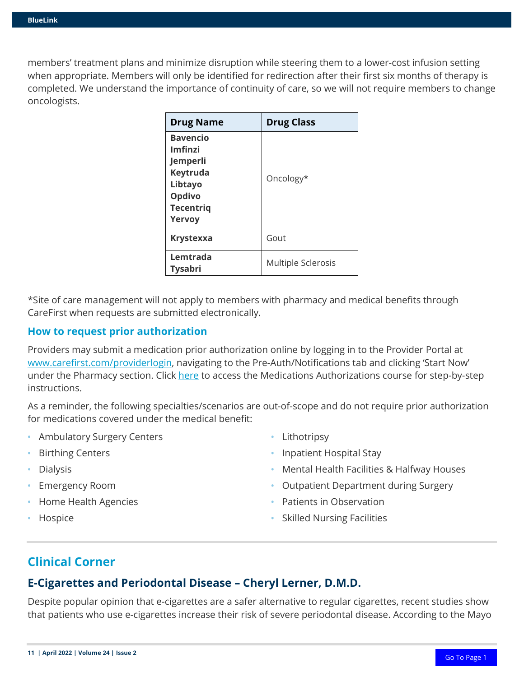members' treatment plans and minimize disruption while steering them to a lower-cost infusion setting when appropriate. Members will only be identified for redirection after their first six months of therapy is completed. We understand the importance of continuity of care, so we will not require members to change oncologists.

| <b>Drug Name</b>                                                                                             | <b>Drug Class</b>  |
|--------------------------------------------------------------------------------------------------------------|--------------------|
| <b>Bavencio</b><br>Imfinzi<br>Jemperli<br>Keytruda<br>Libtayo<br><b>Opdivo</b><br><b>Tecentrig</b><br>Yervoy | Oncology*          |
| <b>Krystexxa</b>                                                                                             | Gout               |
| Lemtrada<br><b>Tysabri</b>                                                                                   | Multiple Sclerosis |

\*Site of care management will not apply to members with pharmacy and medical benefits through CareFirst when requests are submitted electronically.

#### **How to request prior authorization**

Providers may submit a medication prior authorization online by logging in to the Provider Portal at [www.carefirst.com/providerlogin,](http://www.carefirst.com/providerlogin) navigating to the Pre-Auth/Notifications tab and clicking 'Start Now' under the Pharmacy section. Click [here](https://carefirst.az1.qualtrics.com/jfe/form/SV_eWDjHf0lz7ovdgG) to access the Medications Authorizations course for step-by-step instructions.

As a reminder, the following specialties/scenarios are out-of-scope and do not require prior authorization for medications covered under the medical benefit:

- **•** Ambulatory Surgery Centers
- **•** Birthing Centers
- **•** Dialysis
- **•** Emergency Room
- **•** Home Health Agencies
- **•** Hospice
- **•** Lithotripsy
- **•** Inpatient Hospital Stay
- **•** Mental Health Facilities & Halfway Houses
- **•** Outpatient Department during Surgery
- **•** Patients in Observation
- **•** Skilled Nursing Facilities

# **Clinical Corner**

## **E-Cigarettes and Periodontal Disease – Cheryl Lerner, D.M.D.**

Despite popular opinion that e-cigarettes are a safer alternative to regular cigarettes, recent studies show that patients who use e-cigarettes increase their risk of severe periodontal disease. According to the Mayo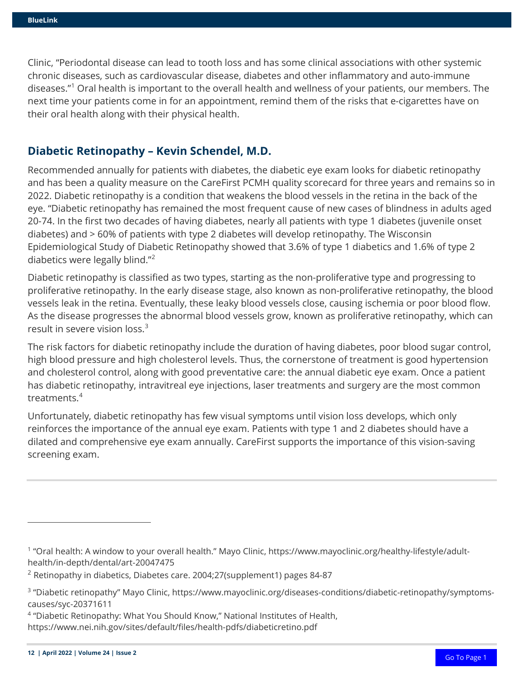Clinic, "Periodontal disease can lead to tooth loss and has some clinical associations with other systemic chronic diseases, such as cardiovascular disease, diabetes and other inflammatory and auto-immune diseases."[1](#page-11-0) Oral health is important to the overall health and wellness of your patients, our members. The next time your patients come in for an appointment, remind them of the risks that e-cigarettes have on their oral health along with their physical health.

## **Diabetic Retinopathy – Kevin Schendel, M.D.**

Recommended annually for patients with diabetes, the diabetic eye exam looks for diabetic retinopathy and has been a quality measure on the CareFirst PCMH quality scorecard for three years and remains so in 2022. Diabetic retinopathy is a condition that weakens the blood vessels in the retina in the back of the eye. "Diabetic retinopathy has remained the most frequent cause of new cases of blindness in adults aged 20-74. In the first two decades of having diabetes, nearly all patients with type 1 diabetes (juvenile onset diabetes) and > 60% of patients with type 2 diabetes will develop retinopathy. The Wisconsin Epidemiological Study of Diabetic Retinopathy showed that 3.6% of type 1 diabetics and 1.6% of type 2 diabetics were legally blind."<sup>[2](#page-11-1)</sup>

Diabetic retinopathy is classified as two types, starting as the non-proliferative type and progressing to proliferative retinopathy. In the early disease stage, also known as non-proliferative retinopathy, the blood vessels leak in the retina. Eventually, these leaky blood vessels close, causing ischemia or poor blood flow. As the disease progresses the abnormal blood vessels grow, known as proliferative retinopathy, which can result in severe vision loss.<sup>[3](#page-11-2)</sup>

The risk factors for diabetic retinopathy include the duration of having diabetes, poor blood sugar control, high blood pressure and high cholesterol levels. Thus, the cornerstone of treatment is good hypertension and cholesterol control, along with good preventative care: the annual diabetic eye exam. Once a patient has diabetic retinopathy, intravitreal eye injections, laser treatments and surgery are the most common treatments.<sup>[4](#page-11-3)</sup>

Unfortunately, diabetic retinopathy has few visual symptoms until vision loss develops, which only reinforces the importance of the annual eye exam. Patients with type 1 and 2 diabetes should have a dilated and comprehensive eye exam annually. CareFirst supports the importance of this vision-saving screening exam.

<span id="page-11-0"></span><sup>1</sup> "Oral health: A window to your overall health." Mayo Clinic, https://www.mayoclinic.org/healthy-lifestyle/adulthealth/in-depth/dental/art-20047475

<span id="page-11-1"></span> $2$  Retinopathy in diabetics, Diabetes care. 2004;27(supplement1) pages 84-87

<span id="page-11-2"></span><sup>&</sup>lt;sup>3</sup> "Diabetic retinopathy" Mayo Clinic, https://www.mayoclinic.org/diseases-conditions/diabetic-retinopathy/symptomscauses/syc-20371611

<span id="page-11-3"></span><sup>4</sup> "Diabetic Retinopathy: What You Should Know," National Institutes of Health,

https://www.nei.nih.gov/sites/default/files/health-pdfs/diabeticretino.pdf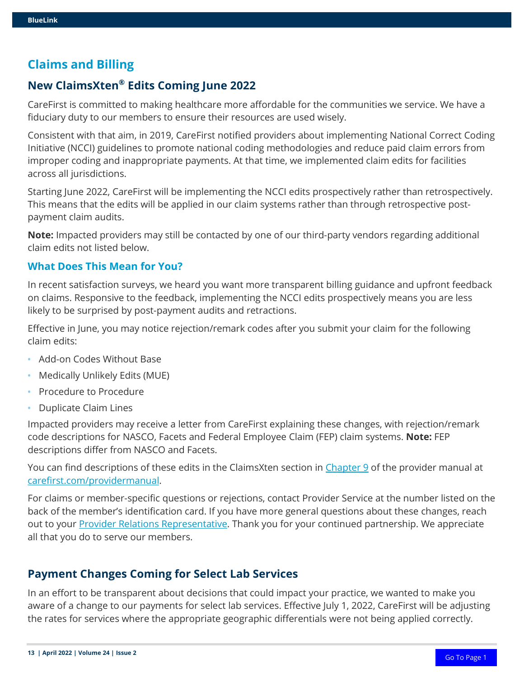## **Claims and Billing**

## **New ClaimsXten® Edits Coming June 2022**

CareFirst is committed to making healthcare more affordable for the communities we service. We have a fiduciary duty to our members to ensure their resources are used wisely.

Consistent with that aim, in 2019, CareFirst notified providers about implementing National Correct Coding Initiative (NCCI) guidelines to promote national coding methodologies and reduce paid claim errors from improper coding and inappropriate payments. At that time, we implemented claim edits for facilities across all jurisdictions.

Starting June 2022, CareFirst will be implementing the NCCI edits prospectively rather than retrospectively. This means that the edits will be applied in our claim systems rather than through retrospective postpayment claim audits.

**Note:** Impacted providers may still be contacted by one of our third-party vendors regarding additional claim edits not listed below.

#### **What Does This Mean for You?**

In recent satisfaction surveys, we heard you want more transparent billing guidance and upfront feedback on claims. Responsive to the feedback, implementing the NCCI edits prospectively means you are less likely to be surprised by post-payment audits and retractions.

Effective in June, you may notice rejection/remark codes after you submit your claim for the following claim edits:

- **•** Add-on Codes Without Base
- **•** Medically Unlikely Edits (MUE)
- **•** Procedure to Procedure
- **•** Duplicate Claim Lines

Impacted providers may receive a letter from CareFirst explaining these changes, with rejection/remark code descriptions for NASCO, Facets and Federal Employee Claim (FEP) claim systems. **Note:** FEP descriptions differ from NASCO and Facets.

You can find descriptions of these edits in the ClaimsXten section in [Chapter 9](https://provider.carefirst.com/carefirst-resources/provider/pdf/provider-manual-chapter-9-policies-procedures.pdf) of the provider manual at [carefirst.com/providermanual.](http://www.carefirst.com/providermanual)

For claims or member-specific questions or rejections, contact Provider Service at the number listed on the back of the member's identification card. If you have more general questions about these changes, reach out to your **Provider Relations Representative**. Thank you for your continued partnership. We appreciate all that you do to serve our members.

### **Payment Changes Coming for Select Lab Services**

In an effort to be transparent about decisions that could impact your practice, we wanted to make you aware of a change to our payments for select lab services. Effective July 1, 2022, CareFirst will be adjusting the rates for services where the appropriate geographic differentials were not being applied correctly.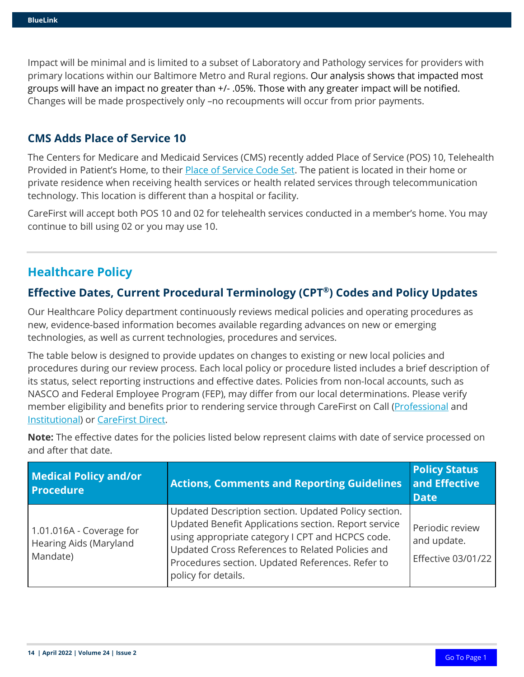Impact will be minimal and is limited to a subset of Laboratory and Pathology services for providers with primary locations within our Baltimore Metro and Rural regions. Our analysis shows that impacted most groups will have an impact no greater than +/- .05%. Those with any greater impact will be notified. Changes will be made prospectively only –no recoupments will occur from prior payments.

## **CMS Adds Place of Service 10**

The Centers for Medicare and Medicaid Services (CMS) recently added Place of Service (POS) 10, Telehealth Provided in Patient's Home, to their [Place of Service Code Set.](https://www.cms.gov/Medicare/Coding/place-of-service-codes/Place_of_Service_Code_Set) The patient is located in their home or private residence when receiving health services or health related services through telecommunication technology. This location is different than a hospital or facility.

CareFirst will accept both POS 10 and 02 for telehealth services conducted in a member's home. You may continue to bill using 02 or you may use 10.

## **Healthcare Policy**

## **Effective Dates, Current Procedural Terminology (CPT®) Codes and Policy Updates**

Our Healthcare Policy department continuously reviews medical policies and operating procedures as new, evidence-based information becomes available regarding advances on new or emerging technologies, as well as current technologies, procedures and services.

The table below is designed to provide updates on changes to existing or new local policies and procedures during our review process. Each local policy or procedure listed includes a brief description of its status, select reporting instructions and effective dates. Policies from non-local accounts, such as NASCO and Federal Employee Program (FEP), may differ from our local determinations. Please verify member eligibility and benefits prior to rendering service through CareFirst on Call (*Professional* and [Institutional\)](https://provider.carefirst.com/carefirst-resources/provider/pdf/carefirst-on-call-reference-card-institutional-pcm1035.pdf) or [CareFirst Direct.](http://www.carefirst.com/carefirstdirect)

| <b>Medical Policy and/or</b><br><b>Procedure</b>               | <b>Actions, Comments and Reporting Guidelines</b>                                                                                                                                                                                                                                               | <b>Policy Status</b><br>and Effective<br><b>Date</b>        |
|----------------------------------------------------------------|-------------------------------------------------------------------------------------------------------------------------------------------------------------------------------------------------------------------------------------------------------------------------------------------------|-------------------------------------------------------------|
| 1.01.016A - Coverage for<br>Hearing Aids (Maryland<br>Mandate) | Updated Description section. Updated Policy section.<br>Updated Benefit Applications section. Report service<br>using appropriate category I CPT and HCPCS code.<br>Updated Cross References to Related Policies and<br>Procedures section. Updated References. Refer to<br>policy for details. | Periodic review<br>and update.<br><b>Effective 03/01/22</b> |

**Note:** The effective dates for the policies listed below represent claims with date of service processed on and after that date.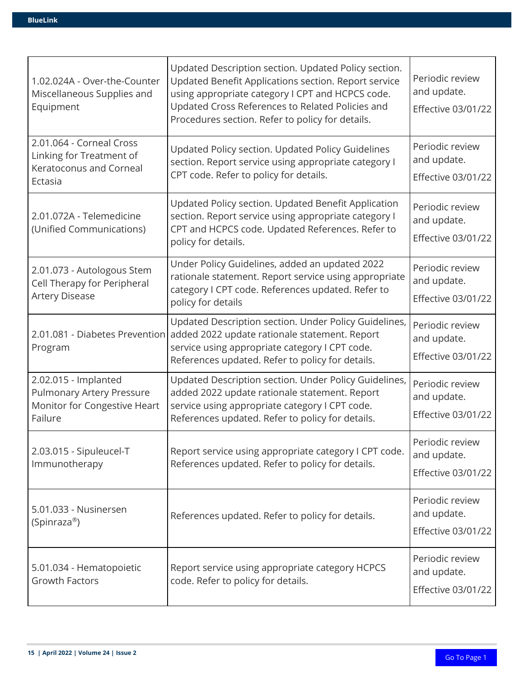| 1.02.024A - Over-the-Counter<br>Miscellaneous Supplies and<br>Equipment                             | Updated Description section. Updated Policy section.<br>Updated Benefit Applications section. Report service<br>using appropriate category I CPT and HCPCS code.<br>Updated Cross References to Related Policies and<br>Procedures section. Refer to policy for details. | Periodic review<br>and update.<br><b>Effective 03/01/22</b> |
|-----------------------------------------------------------------------------------------------------|--------------------------------------------------------------------------------------------------------------------------------------------------------------------------------------------------------------------------------------------------------------------------|-------------------------------------------------------------|
| 2.01.064 - Corneal Cross<br>Linking for Treatment of<br>Keratoconus and Corneal<br>Ectasia          | Updated Policy section. Updated Policy Guidelines<br>section. Report service using appropriate category I<br>CPT code. Refer to policy for details.                                                                                                                      | Periodic review<br>and update.<br><b>Effective 03/01/22</b> |
| 2.01.072A - Telemedicine<br>(Unified Communications)                                                | Updated Policy section. Updated Benefit Application<br>section. Report service using appropriate category I<br>CPT and HCPCS code. Updated References. Refer to<br>policy for details.                                                                                   | Periodic review<br>and update.<br><b>Effective 03/01/22</b> |
| 2.01.073 - Autologous Stem<br>Cell Therapy for Peripheral<br><b>Artery Disease</b>                  | Under Policy Guidelines, added an updated 2022<br>rationale statement. Report service using appropriate<br>category I CPT code. References updated. Refer to<br>policy for details                                                                                       | Periodic review<br>and update.<br><b>Effective 03/01/22</b> |
| 2.01.081 - Diabetes Prevention<br>Program                                                           | Updated Description section. Under Policy Guidelines,<br>added 2022 update rationale statement. Report<br>service using appropriate category I CPT code.<br>References updated. Refer to policy for details.                                                             | Periodic review<br>and update.<br><b>Effective 03/01/22</b> |
| 2.02.015 - Implanted<br><b>Pulmonary Artery Pressure</b><br>Monitor for Congestive Heart<br>Failure | Updated Description section. Under Policy Guidelines,<br>added 2022 update rationale statement. Report<br>service using appropriate category I CPT code.<br>References updated. Refer to policy for details.                                                             | Periodic review<br>and update.<br><b>Effective 03/01/22</b> |
| 2.03.015 - Sipuleucel-T<br>Immunotherapy                                                            | Report service using appropriate category I CPT code.<br>References updated. Refer to policy for details.                                                                                                                                                                | Periodic review<br>and update.<br><b>Effective 03/01/22</b> |
| 5.01.033 - Nusinersen<br>(Spinraza <sup>®</sup> )                                                   | References updated. Refer to policy for details.                                                                                                                                                                                                                         | Periodic review<br>and update.<br><b>Effective 03/01/22</b> |
| 5.01.034 - Hematopoietic<br>Growth Factors                                                          | Report service using appropriate category HCPCS<br>code. Refer to policy for details.                                                                                                                                                                                    | Periodic review<br>and update.<br><b>Effective 03/01/22</b> |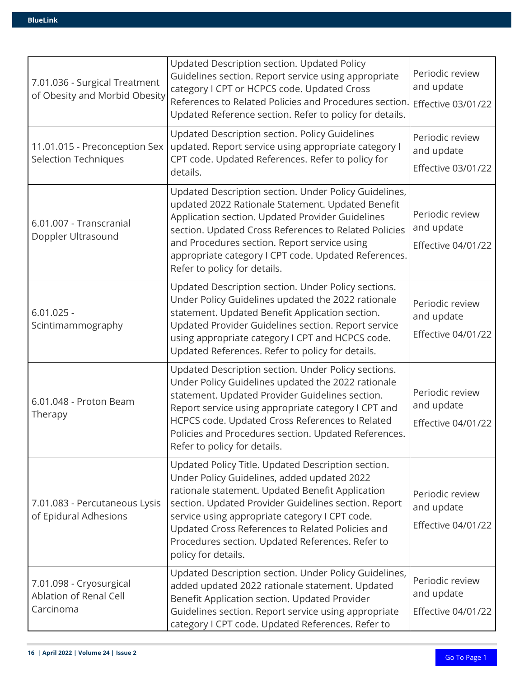| 7.01.036 - Surgical Treatment<br>of Obesity and Morbid Obesity | Updated Description section. Updated Policy<br>Guidelines section. Report service using appropriate<br>category I CPT or HCPCS code. Updated Cross<br>References to Related Policies and Procedures section.<br>Updated Reference section. Refer to policy for details.                                                                                                                        | Periodic review<br>and update<br><b>Effective 03/01/22</b> |
|----------------------------------------------------------------|------------------------------------------------------------------------------------------------------------------------------------------------------------------------------------------------------------------------------------------------------------------------------------------------------------------------------------------------------------------------------------------------|------------------------------------------------------------|
| 11.01.015 - Preconception Sex<br><b>Selection Techniques</b>   | Updated Description section. Policy Guidelines<br>updated. Report service using appropriate category I<br>CPT code. Updated References. Refer to policy for<br>details.                                                                                                                                                                                                                        | Periodic review<br>and update<br>Effective 03/01/22        |
| 6.01.007 - Transcranial<br>Doppler Ultrasound                  | Updated Description section. Under Policy Guidelines,<br>updated 2022 Rationale Statement. Updated Benefit<br>Application section. Updated Provider Guidelines<br>section. Updated Cross References to Related Policies<br>and Procedures section. Report service using<br>appropriate category I CPT code. Updated References.<br>Refer to policy for details.                                | Periodic review<br>and update<br><b>Effective 04/01/22</b> |
| $6.01.025 -$<br>Scintimammography                              | Updated Description section. Under Policy sections.<br>Under Policy Guidelines updated the 2022 rationale<br>statement. Updated Benefit Application section.<br>Updated Provider Guidelines section. Report service<br>using appropriate category I CPT and HCPCS code.<br>Updated References. Refer to policy for details.                                                                    | Periodic review<br>and update<br><b>Effective 04/01/22</b> |
| 6.01.048 - Proton Beam<br>Therapy                              | Updated Description section. Under Policy sections.<br>Under Policy Guidelines updated the 2022 rationale<br>statement. Updated Provider Guidelines section.<br>Report service using appropriate category I CPT and<br>HCPCS code. Updated Cross References to Related<br>Policies and Procedures section. Updated References.<br>Refer to policy for details.                                 | Periodic review<br>and update<br><b>Effective 04/01/22</b> |
| 7.01.083 - Percutaneous Lysis<br>of Epidural Adhesions         | Updated Policy Title. Updated Description section.<br>Under Policy Guidelines, added updated 2022<br>rationale statement. Updated Benefit Application<br>section. Updated Provider Guidelines section. Report<br>service using appropriate category I CPT code.<br>Updated Cross References to Related Policies and<br>Procedures section. Updated References. Refer to<br>policy for details. | Periodic review<br>and update<br><b>Effective 04/01/22</b> |
| 7.01.098 - Cryosurgical<br>Ablation of Renal Cell<br>Carcinoma | Updated Description section. Under Policy Guidelines,<br>added updated 2022 rationale statement. Updated<br>Benefit Application section. Updated Provider<br>Guidelines section. Report service using appropriate<br>category I CPT code. Updated References. Refer to                                                                                                                         | Periodic review<br>and update<br><b>Effective 04/01/22</b> |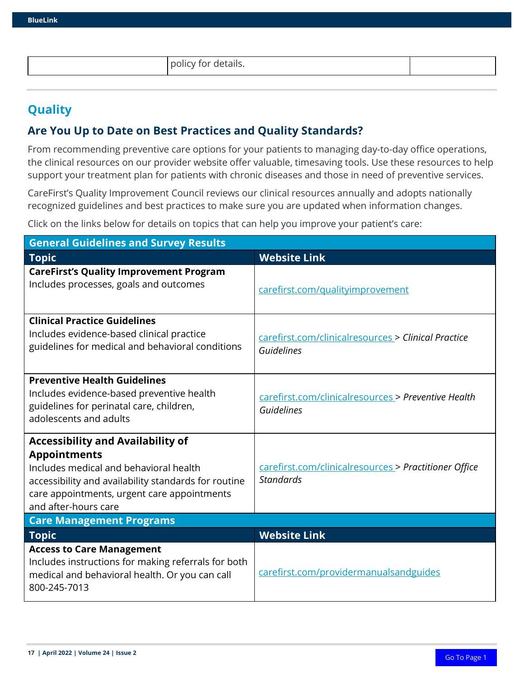policy for details.

# **Quality**

## **Are You Up to Date on Best Practices and Quality Standards?**

From recommending preventive care options for your patients to managing day-to-day office operations, the clinical resources on our provider website offer valuable, timesaving tools. Use these resources to help support your treatment plan for patients with chronic diseases and those in need of preventive services.

CareFirst's Quality Improvement Council reviews our clinical resources annually and adopts nationally recognized guidelines and best practices to make sure you are updated when information changes.

Click on the links below for details on topics that can help you improve your patient's care:

| <b>General Guidelines and Survey Results</b>                                                                                                                                                                                             |                                                                           |  |
|------------------------------------------------------------------------------------------------------------------------------------------------------------------------------------------------------------------------------------------|---------------------------------------------------------------------------|--|
| <b>Topic</b>                                                                                                                                                                                                                             | <b>Website Link</b>                                                       |  |
| <b>CareFirst's Quality Improvement Program</b><br>Includes processes, goals and outcomes                                                                                                                                                 | carefirst.com/qualityimprovement                                          |  |
| <b>Clinical Practice Guidelines</b><br>Includes evidence-based clinical practice<br>guidelines for medical and behavioral conditions                                                                                                     | carefirst.com/clinicalresources > Clinical Practice<br>Guidelines         |  |
| <b>Preventive Health Guidelines</b><br>Includes evidence-based preventive health<br>guidelines for perinatal care, children,<br>adolescents and adults                                                                                   | carefirst.com/clinicalresources > Preventive Health<br>Guidelines         |  |
| <b>Accessibility and Availability of</b><br><b>Appointments</b><br>Includes medical and behavioral health<br>accessibility and availability standards for routine<br>care appointments, urgent care appointments<br>and after-hours care | carefirst.com/clinicalresources > Practitioner Office<br><b>Standards</b> |  |
| <b>Care Management Programs</b>                                                                                                                                                                                                          |                                                                           |  |
| <b>Topic</b>                                                                                                                                                                                                                             | <b>Website Link</b>                                                       |  |
| <b>Access to Care Management</b><br>Includes instructions for making referrals for both<br>medical and behavioral health. Or you can call<br>800-245-7013                                                                                | carefirst.com/providermanualsandguides                                    |  |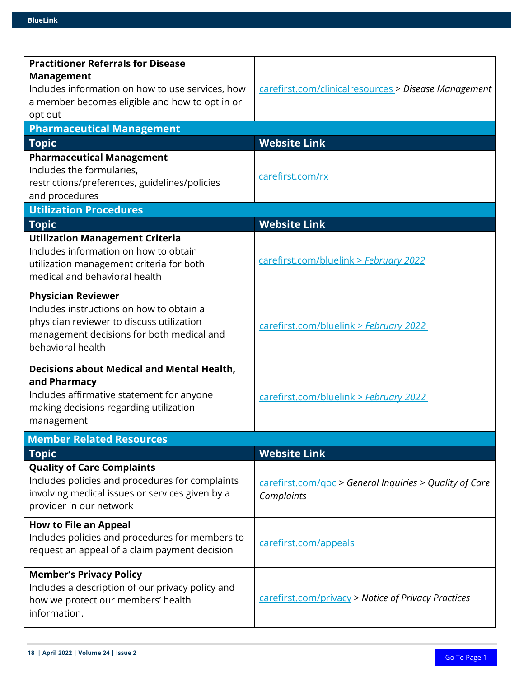| <b>Practitioner Referrals for Disease</b>                             |                                                         |
|-----------------------------------------------------------------------|---------------------------------------------------------|
|                                                                       |                                                         |
| <b>Management</b><br>Includes information on how to use services, how | carefirst.com/clinicalresources > Disease Management    |
| a member becomes eligible and how to opt in or                        |                                                         |
| opt out                                                               |                                                         |
| <b>Pharmaceutical Management</b>                                      |                                                         |
| <b>Topic</b>                                                          | <b>Website Link</b>                                     |
| <b>Pharmaceutical Management</b>                                      |                                                         |
| Includes the formularies,                                             |                                                         |
| restrictions/preferences, guidelines/policies                         | carefirst.com/rx                                        |
| and procedures                                                        |                                                         |
| <b>Utilization Procedures</b>                                         |                                                         |
| <b>Topic</b>                                                          | <b>Website Link</b>                                     |
| <b>Utilization Management Criteria</b>                                |                                                         |
| Includes information on how to obtain                                 |                                                         |
| utilization management criteria for both                              | carefirst.com/bluelink > February 2022                  |
| medical and behavioral health                                         |                                                         |
|                                                                       |                                                         |
| <b>Physician Reviewer</b>                                             |                                                         |
| Includes instructions on how to obtain a                              |                                                         |
| physician reviewer to discuss utilization                             | carefirst.com/bluelink > February 2022                  |
| management decisions for both medical and<br>behavioral health        |                                                         |
|                                                                       |                                                         |
| <b>Decisions about Medical and Mental Health,</b>                     |                                                         |
| and Pharmacy                                                          |                                                         |
| Includes affirmative statement for anyone                             | carefirst.com/bluelink > February 2022                  |
| making decisions regarding utilization                                |                                                         |
| management                                                            |                                                         |
| <b>Member Related Resources</b>                                       |                                                         |
| <b>Topic</b>                                                          | <b>Website Link</b>                                     |
| <b>Quality of Care Complaints</b>                                     |                                                         |
| Includes policies and procedures for complaints                       | carefirst.com/goc > General Inquiries > Quality of Care |
| involving medical issues or services given by a                       | Complaints                                              |
| provider in our network                                               |                                                         |
| <b>How to File an Appeal</b>                                          |                                                         |
| Includes policies and procedures for members to                       |                                                         |
| request an appeal of a claim payment decision                         | carefirst.com/appeals                                   |
|                                                                       |                                                         |
| <b>Member's Privacy Policy</b>                                        |                                                         |
| Includes a description of our privacy policy and                      |                                                         |
| how we protect our members' health                                    | carefirst.com/privacy > Notice of Privacy Practices     |
| information.                                                          |                                                         |
|                                                                       |                                                         |